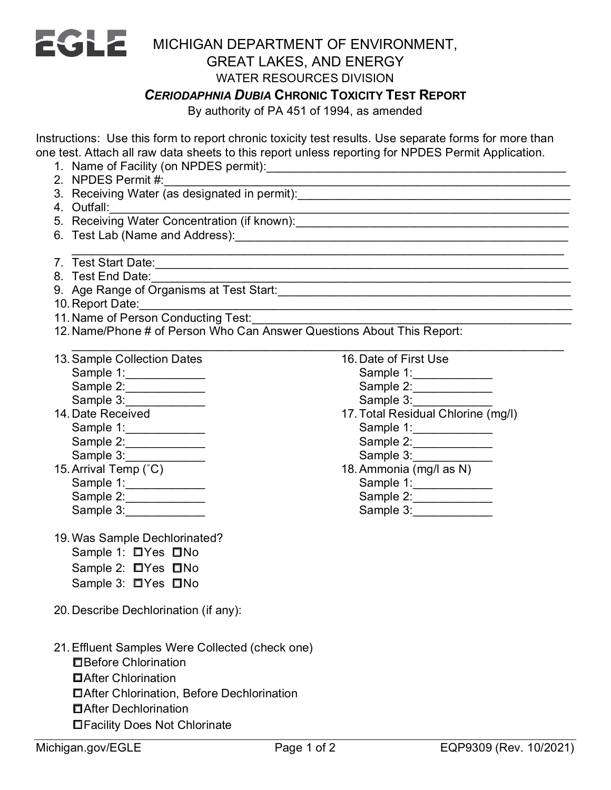

## MICHIGAN DEPARTMENT OF ENVIRONMENT, GREAT LAKES, AND ENERGY

## WATER RESOURCES DIVISION

## *CERIODAPHNIA DUBIA* **CHRONIC TOXICITY TEST REPORT**

\_\_\_\_\_\_\_\_\_\_\_\_\_\_\_\_\_\_\_\_\_\_\_\_\_\_\_\_\_\_\_\_\_\_\_\_\_\_\_\_\_\_\_\_\_\_\_\_\_\_\_\_\_\_\_\_\_\_\_\_\_\_\_\_\_\_\_\_\_\_\_\_\_\_

By authority of PA 451 of 1994, as amended

Instructions: Use this form to report chronic toxicity test results. Use separate forms for more than one test. Attach all raw data sheets to this report unless reporting for NPDES Permit Application.

- 1. Name of Facility (on NPDES permit):\_\_\_\_\_\_\_\_\_\_\_\_\_\_\_\_\_\_\_\_\_\_\_\_\_\_\_\_\_\_\_\_\_\_\_\_\_\_\_\_\_\_\_\_\_
- 2. NPDES Permit #:\_\_\_\_\_\_\_\_\_\_\_\_\_\_\_\_\_\_\_\_\_\_\_\_\_\_\_\_\_\_\_\_\_\_\_\_\_\_\_\_\_\_\_\_\_\_\_\_\_\_\_\_\_\_\_\_\_\_\_\_\_
- 3. Receiving Water (as designated in permit):\_\_\_\_\_\_\_\_\_\_\_\_\_\_\_\_\_\_\_\_\_\_\_\_\_\_\_\_\_\_\_\_\_
- 4. Outfall:\_\_\_\_\_\_\_\_\_\_\_\_\_\_\_\_\_\_\_\_\_\_\_\_\_\_\_\_\_\_\_\_\_\_\_\_\_\_\_\_\_\_\_\_\_\_\_\_\_\_\_\_\_\_\_\_\_\_\_\_\_\_\_\_\_\_\_\_\_
- 5. Receiving Water Concentration (if known):
- 6. Test Lab (Name and Address):\_\_\_\_\_\_\_\_\_\_\_\_\_\_\_\_\_\_\_\_\_\_\_\_\_\_\_\_\_\_\_\_\_\_\_\_\_\_\_\_\_\_\_\_\_\_\_\_\_\_
- \_\_\_\_\_\_\_\_\_\_\_\_\_\_\_\_\_\_\_\_\_\_\_\_\_\_\_\_\_\_\_\_\_\_\_\_\_\_\_\_\_\_\_\_\_\_\_\_\_\_\_\_\_\_\_\_\_\_\_\_\_\_\_\_\_\_\_\_\_\_\_\_\_\_ 7. Test Start Date:
- 8. Test End Date:\_\_\_\_\_\_\_\_\_\_\_\_\_\_\_\_\_\_\_\_\_\_\_\_\_\_\_\_\_\_\_\_\_\_\_\_\_\_\_\_\_\_\_\_\_\_\_\_\_\_\_\_\_\_\_\_\_\_\_\_\_\_\_
- 9. Age Range of Organisms at Test Start:\_\_\_\_\_\_\_\_\_\_\_\_\_\_\_\_\_\_\_\_\_\_\_\_\_\_\_\_\_\_\_\_\_\_\_\_\_\_\_\_\_\_\_\_
- 10. Report Date:
- 11. Name of Person Conducting Test:
- 12. Name/Phone # of Person Who Can Answer Questions About This Report:

| 13. Sample Collection Dates |
|-----------------------------|
| Sample 1:                   |
| Sample 2:                   |
| Sample 3:                   |
| 14. Date Received           |
| Sample 1:                   |
| Sample 2:                   |
| Sample 3:                   |
| 15. Arrival Temp (°C)       |
| Sample 1:                   |
| Sample 2:                   |
| Sample 3:                   |

- 19.Was Sample Dechlorinated? Sample 1: □Yes □No Sample 2: □Yes □No Sample 3: □Yes □No
- 20. Describe Dechlorination (if any):
- 21.Effluent Samples Were Collected (check one) ☐Before Chlorination ☐After Chlorination
	- ☐After Chlorination, Before Dechlorination
	- ☐After Dechlorination
	- ☐Facility Does Not Chlorinate

| 16. Date of First Use |  |
|-----------------------|--|
| Sample 1:             |  |
| Sample 2:             |  |

- Sample 3:
- 17.Total Residual Chlorine (mg/l) Sample 1:\_\_\_\_\_\_\_\_\_\_\_\_ Sample 2:
	- Sample 3:
- 18.Ammonia (mg/l as N) Sample 1:

| Uallipiu I. |  |
|-------------|--|
| Sample 2:   |  |

| Sample 3: |  |  |  |  |
|-----------|--|--|--|--|
|           |  |  |  |  |